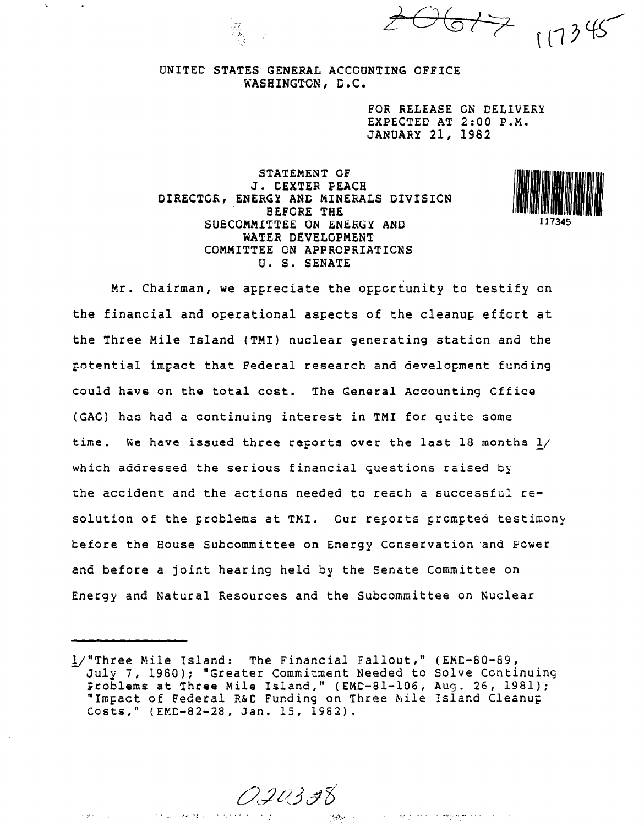$2061717178$ 

### UNITED STATES GENERAL ACCOUNTING OFFICE KASEINGTGN, D.C.

FOR RELEASE GN DELIVERY EXPECTED AT 2:00 P.M. JANUARY 21, 1982

STATEMENT GF J. DEXTER PEACH DIRECTGR, ENERGY ANC MINERALS DIVISICN EEFGRE THE SUECOMMITTEE ON ENERGY AND WATER DEVELOPMENT COMMITTEE GN APPRCPRIATICNS U. S. SENATE



Mr. Chairman, we appreciate the opportunity to testify on the financial and operational aspects of the cleanup effort at the Three Mile Island (TMI) nuclear generating station and the Gotential impact that Federal research and development funding could have on the total cost. The General Accounting Gffice (GAG) has had a continuing interest in TM1 for quite some time. We have issued three reports over the last 18 months  $1/$ which addressed the serious financial questions raised by the accident and the actions needed to reach a successful resolution of the problems at TMI. Cur reports prompted testimony before the House Subcommittee on Energy Conservation .and Power and before a joint hearing held by the Senate Committee on Energy and Natural Resources and the Subcommittee on Nuclear

020338

 $\mathcal{O}(\mathcal{O}(1))$  , where  $\mathcal{O}(\mathcal{O}(1))$ 

in Service

 $\mathcal{A}$  , generally  $\mathcal{A}$  ,  $\mathcal{A}$ 

繰り返し しょうせいせい 大会社 サイト・ア

i/"Three Mile Island: The Financial Fallout," (EMD-80-&g, July 7, 1960); "Greater Commitment Needed to Solve Ccntinuing Froblems at Three Mile Island," (EMC-81-106, Aug. 26, 1981); "Impact of Federal R&C Funding on Three Mile Island Cleanup Costs," (EMD-82-28, Jan. 15, 1982).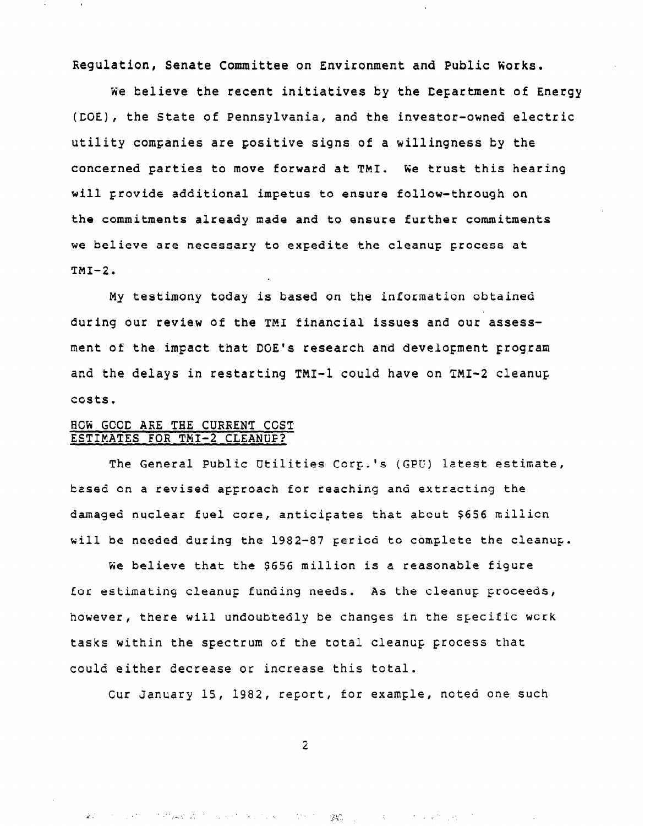Regulation, Senate Committee on Environment and Public Works.

We believe the recent initiatives by the Department of Energy (CGE), the State of Pennsylvania, and the investor-owned electric utility companies are positive signs of a willingness by the concerned parties to move forward at TMI. &e trust this hearing will provide additional impetus to ensure follow-through on the commitments already made and to ensure further commitments we believe are necessary to expedite the cleanup process at  $TMI-2.$ 

My testimony today is based on the information obtained during our review of the TM1 financial issues and our assessment of the impact that DOE's research and develorment program and the delays in restarting TMI-1 could have on TMI-2 cleanup costs.

### BCN GCCC ARE THE CURRENT CCST ESTIMATES FOR TMI-2 CLEANUF?

The General Public Utilities Corp.'s (GPU) latest estimate, based on a revised approach for reaching and extracting the damaged nuclear fuel core, anticipates that atout \$656 millicn will be needed during the 1982-87 pericd to complete the cleanup.

We believe that the \$656 million is a reasonable figure for estimating cleanup funding needs. As the cleanup proceeds, however, there will undoubtedly be changes in the specific work tasks within the spectrum of the total cleanup process that could either decrease or increase this total.

Cur January If, 1982, report, for example, noted one such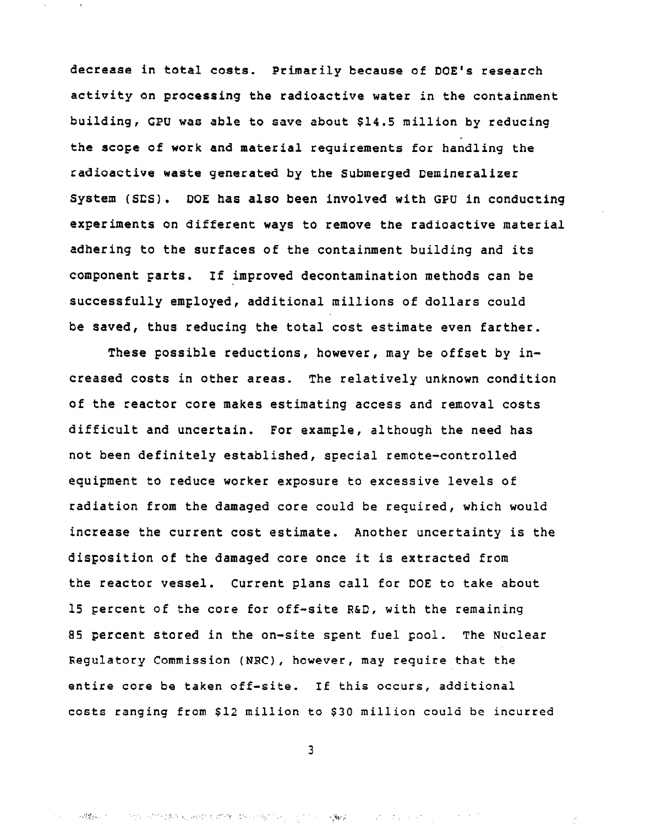decrease in total costs. Primarily because of DOE's research activity on processing the radioactive water in the containment building, GPU was able to save about \$14.5 million by reducing the scope of work and material requirements for handling the radioactive waste generated by the Submerged Demineralizer System (SDS) . DOE has also been involved with GPU in conducting experiments on different ways to remove the radioactive material adhering to the surfaces of the containment building and its component parts. If improved decontamination methods can be SUCCeSSfUlly employed, additional millions of dollars could be saved, thus reducing the total cost estimate even farther.

These possible reductions, however, may be offset by increased costs in other areas. The relatively unknown condition of the reactor core makes estimating access and removal costs difficult and uncertain. For example, although the need has not been definitely established, special remote-controlled equipment to reduce worker exposure to excessive levels of radiation from the damaged core could be required, which would increase the current cost estimate. Another uncertainty is the disposition of the damaged core once it is extracted from the reactor vessel. Current plans call for DOE to take about 15 percent of the core for off-site R&D, with the remaining 85 percent stored in the on-site spent fuel pool. The Nuclear Regulatory Commission (NRC), however, may require that the entire core be taken off-site. If this occurs, additional costs ranging from \$12, million to \$30 million could be incurred

3

 $\sim$   $\sim$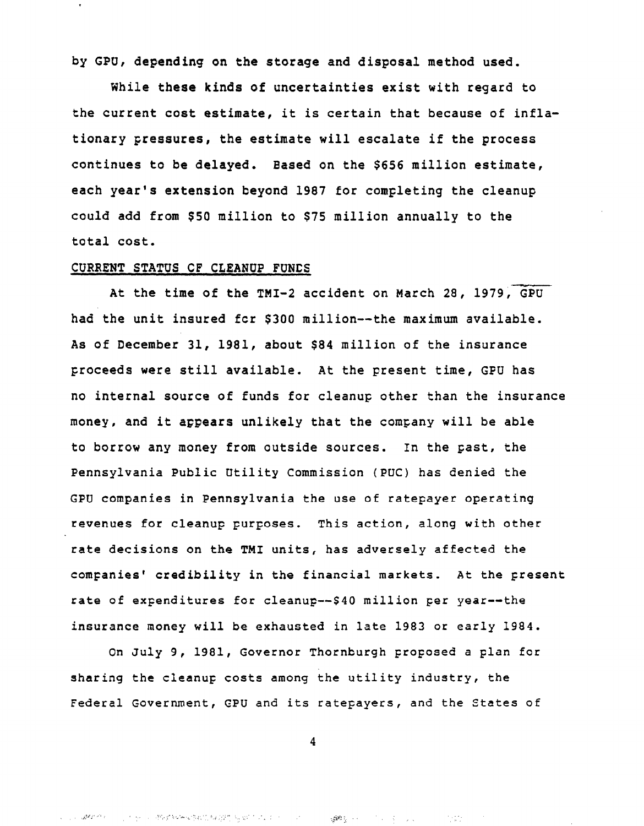by GPU, depending on the storage and disposal method used.

While these kinds of uncertainties exist with regard to the current cost estimate, it is certain that because of inflationary pressures, the estimate will escalate if the process continues to be delayed. Based on the \$656 million estimate, each year's extension beyond 1987 for completing the cleanup could add from \$50 million to \$75 million annually to the total cost.

#### CURRENT STATUS OF CLEANUP FUNDS

At the time of the TMI-2 accident on March 28, 1979, GPU had the unit insured fcr \$300 million--the maximum available. As of December 31, 1981, about \$84 million of the insurance proceeds were still available. At the present time, GFU has no internal source of funds for cleanup other than the insurance money, and it appears unlikely that the company will be able to borrow any money from outside sources. In the past, the Pennsylvania Public Utility Commission (PUC) has denied the GPU companies in Pennsylvania the use of ratepayer operating revenues for cleanup purposes. This action, along with other rate decisions on the TM1 units, has adversely affected the companies' credibility in the financial markets. At the present rate of expenditures for cleanup--\$40 million per year--the insurance money will be exhausted in late 1983 or early 1984.

On July 9, 1981, Governor Thornburgh proposed a plan for sharing the cleanup costs among the utility industry, the Federal Government, GPU and its ratepayers, and the States of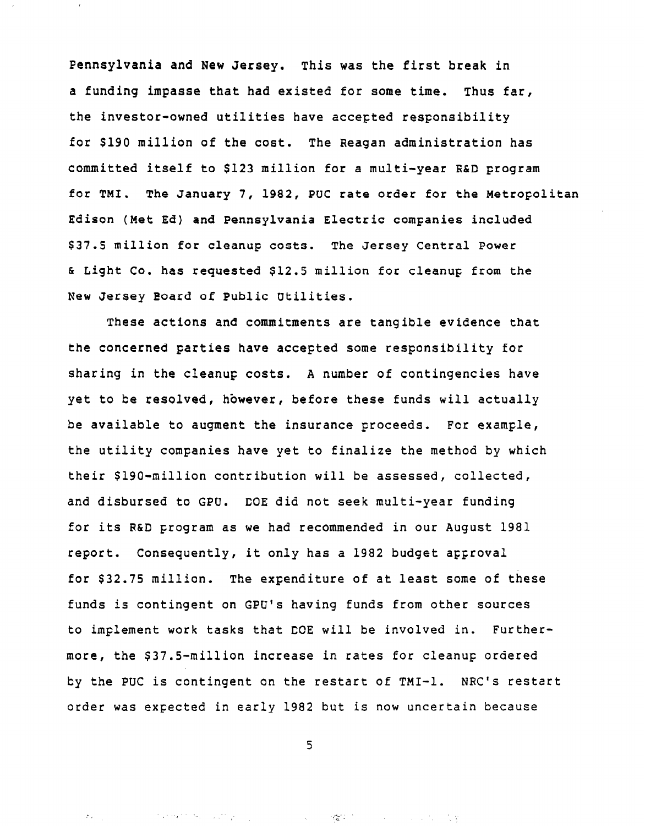Pennsylvania and New Jersey. This was the first break in a funding impasse that had existed for some time. Thus far, the investor-owned utilities have accepted responsibility for \$190 million of the cost. The Reagan administration has committed itself to \$123 million for a multi-year R&D program for TMI. The January 7, 1982, PUC rate order for the Metropolitan Edison (Met Ed) and Pennsylvania Electric companies included \$37.5 million for cleanup costs. The Jersey Central Power & Light Co. has requested \$12.5 million for cleanup from the New Jersey Eoard of Public Utilities.

These actions and commitments are tangible evidence that the concerned parties have accepted some responsibility for sharing in the cleanup costs. A number of contingencies have yet to be resolved, however, before these funds will actually be available to augment the insurance proceeds. For example, the utility companies have yet to finalize the method by which their \$190-million contribution will be assessed, collected, and disbursed to GPO. DOE did not seek multi-year funding for its R&D program as we had recommended in our August 1981 report. Consequently, it only has a 1982 budget approval for \$32.75 million. The expenditure of at least some of these funds is contingent on GPU's having funds from other sources to implement work tasks that DOE will be involved in. Furthermore, the \$37.5-million increase in rates for cleanup ordered by the PUC is contingent on the restart of TMI-1. NRC's restart order was expected in early 1982 but is now uncertain because

5

 $\label{eq:2.1} \mathcal{F}_{\mathcal{F}}(\mathcal{F}_{\mathcal{F}}) = \mathcal{F}_{\mathcal{F}}(\mathcal{F}_{\mathcal{F}}) = \mathcal{F}_{\mathcal{F}}(\mathcal{F}_{\mathcal{F}}) + \mathcal{F}_{\mathcal{F}}(\mathcal{F}_{\mathcal{F}}) = \mathcal{F}_{\mathcal{F}}(\mathcal{F}_{\mathcal{F}})$ 

 $\mathcal{C}_{\mathcal{G}_0}^{\mathbf{p},\mathbf{p}}(1)$  ,  $\mathcal{C}_{\mathcal{G}_0}$ しゅうしょう かいしな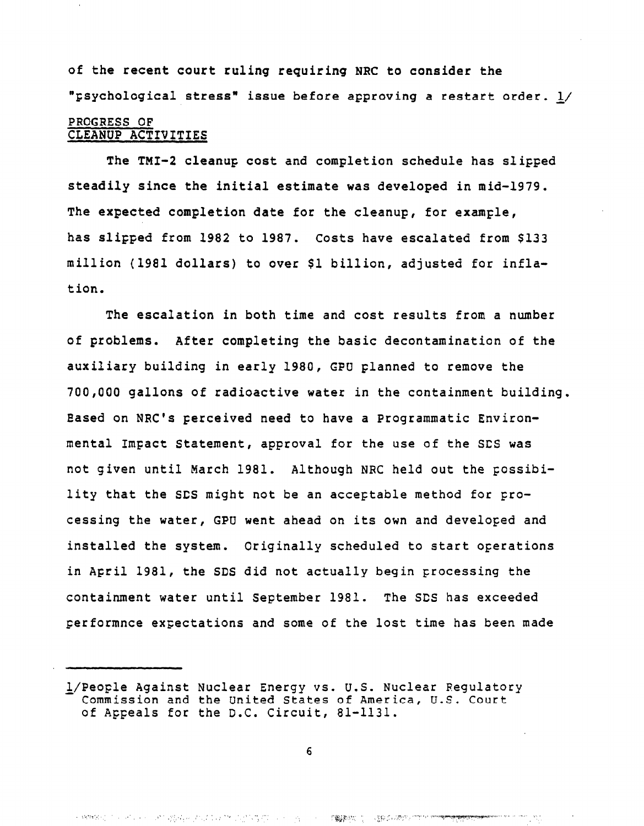of the recent court ruling requiring NRC to consider the "Fsychological stress" issue before approving a restart order. L/

## PROGRESS OF CLEANUP ACTIVITIES

The TMI-2 cleanup cost and completion schedule has slipped steadily since the initial estimate was developed in mid-1979. The expected completion date for the cleanup, for example, has slipped from 1982 to 1987. Costs have escalated from \$133 million (1981 dollars) to over \$1 billion, adjusted for inflation.

The escalation in both time and cost results from a number of problems. After completing the basic decontamination of the auxiliary building in early 1980, GPU Flanned to remove the 700,000 gallons of radioactive water in the containment building. Eased on NRC's Ferceived need to have a Programmatic Environmental Impact Statement, approval for the use of the SDS was not given until March 1981. Although NRC held out the possibility that the SDS might not be an acceptable method for processing the water, GPU went ahead on its own and developed and installed the system. Originally scheduled to start operations in April 1981, the SDS did not actually begin processing the containment water until September 1981. The SDS has exceeded performnce expectations and some of the lost time has been made

l/People Against Nuclear Energy vs. U.S. Nuclear Regulatory Commission and the United States of America, U.S. Court of Appeals for the D.C. Circuit, 81-1131.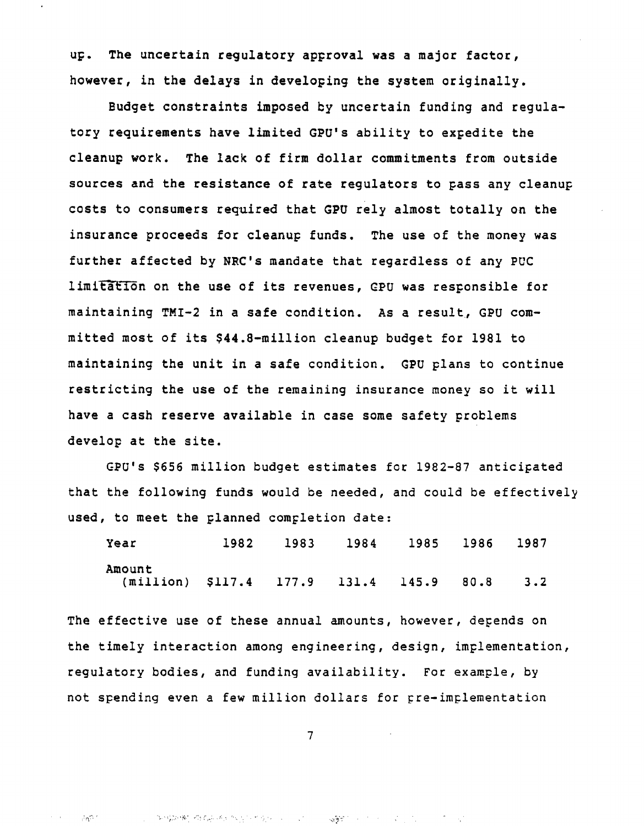up. The uncertain regulatory approval was a major factor, however, in the delays in developing the system originally.

Budget constraints imposed by uncertain funding and regulatory requirements have limited GPU's ability to expedite the cleanup work. The lack of firm dollar commitments from outside sources and the resistance of rate regulators to pass any cleanup costs to consumers required that GPU rely almost totally on the insurance proceeds for cleanup funds. The use of the money was further affected by NRC's mandate that regardless of any PUC limitation on the use of its revenues, GPU was responsible for maintaining TMI-2 in a safe condition. As a result, GPU committed most of its \$44.8-million cleanup budget for 1981 to maintaining the unit in a safe condition. GPU plans to continue restricting the use of the remaining insurance money so it will have a cash reserve available in case some safety problems develop at the site.

GPUls \$656 million budget estimates for 1982-87 anticipated that the following funds would be needed, and could be effectively used, to meet the planned completion date:

| Year                                         |  | 1982 1983 1984 1985 1986 1987 |  |
|----------------------------------------------|--|-------------------------------|--|
| Amount                                       |  |                               |  |
| (million) \$117.4 177.9 131.4 145.9 80.8 3.2 |  |                               |  |

The effective use of these annual amounts, however, depends on the timely interaction among engineering, design, implementation, regulatory bodies, and funding availability. For example, by not Spending even a few million dollars for gre-implementation

7

3. 经2018年增长,运动工作, 12. 生产学生。

**《美术**》 2010年10月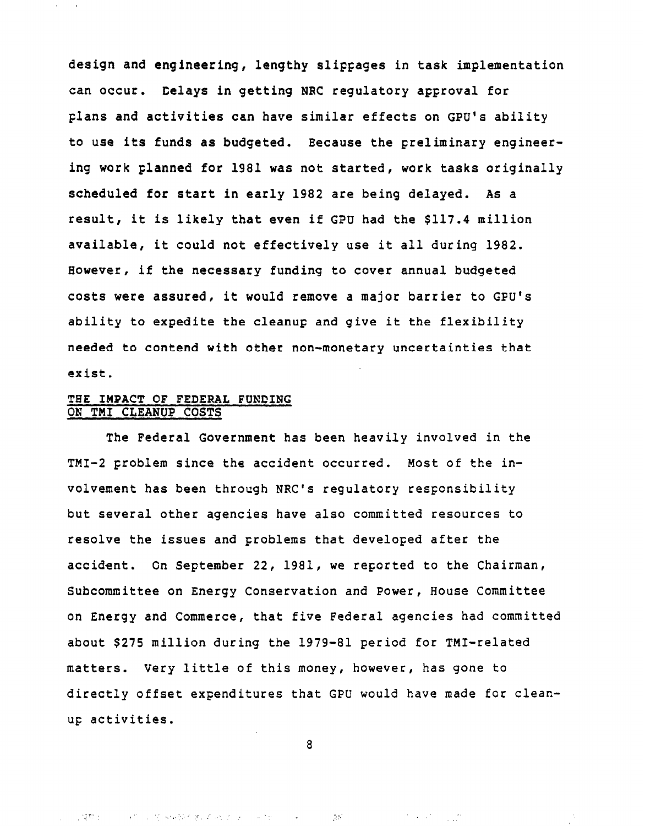design and engineering, lengthy slippages in task implementation can occur. Delays in getting NRC regulatory approval for plans and activities can have similar effects on GPU's ability to use its funds as budgeted. Eecause the preliminary engineering work planned for 1981 was not started, work tasks originally scheduled for start in early 1982 are being delayed. As a result, it is likely that even if GPU had the \$117.4 million available, it could not effectively use it all during 1982. However, if the necessary funding to cover annual budgeted costs were assured, it would remove a major barrier to GFU's ability to expedite the cleanup and give it the flexibility needed to contend with other non-monetary uncertainties that exist.

# THE IMPACT OF FEDERAL FUNDING ON TM1 CLEANUP COSTS

The Federal Government has been heavily involved in the TMI-2 problem since the accident occurred. Most of the involvement has been through NRC's regulatory responsibility but several other agencies have also committed resources to resolve the issues and problems that developed after the accident. Gn September 22, 1981, we reported to the Chairman, Subcommittee on Energy Conservation and Power, House Committee on Energy and Commerce, that five Federal agencies had committed about \$275 million during the 1979-81 period for TMI-related matters. Very little of this money, however, has gone to directly offset expenditures that GPU would have made for cleanup activities.

a

',' T- ,".,.', : I\_, :. .,, '. \_':,:

 $\label{eq:2} \mathcal{L}^{(1)}\left(\mathcal{L}^{(1)}\right) = \mathcal{L}^{(1)}\left(\mathcal{L}^{(1)}\right) = \mathcal{L}^{(1)}\left(\mathcal{L}^{(1)}\right)$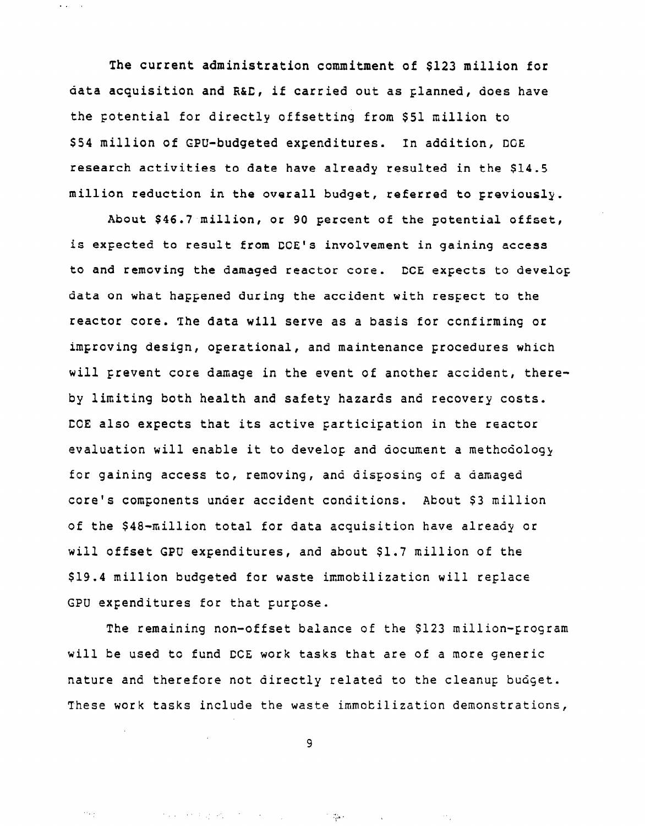The current administration commitment of \$123 million for data acquisition and R&D, if carried out as planned, does have the Fotential for directly offsetting from \$51 million to \$54 million of GPU-budgeted expenditures. In addition, DGE research activities to date have already resulted in the \$14.5 million reduction in the overall budget, referred to previously.

.,

 $\bar{\psi}_{\rm{max}}$ 

About \$46.7 million, or 90 percent of the potential offset, is expected to result from DOE's involvement in gaining access to and removing the damaged reactor core. DCE expects to develop data on what happened during the accident with respect to the reactor core. The data will serve as a basis for ccnfirming or improving design, operational, and maintenance procedures which will prevent core damage in the event of another accident, thereby limiting both health and safety hazards and recovery costs. CCE also expects that its active participation in the reactor evaluation will enable it to develop and document a methodology for gaining access to, removing, and disposing of a damaged core's components under accident conditions. About \$3 million of the \$48-million total for data acquisition have already or will Offset GPU expenditures, and about \$1.7 million of the \$19.4 million budgeted for waste immobilizaticn will replace GPU expenditures for that purpose.

The remaining non-offset balance of the \$123 million-program will be used to fund CCE work tasks that are of a more generic nature and therefore not directly related to the cleanup budget. These work tasks include the waste immobilization demonstrations,

9

 $\sim 350$ 

 $\rightarrow$   $\gamma$ 

the expertise of the control of the control of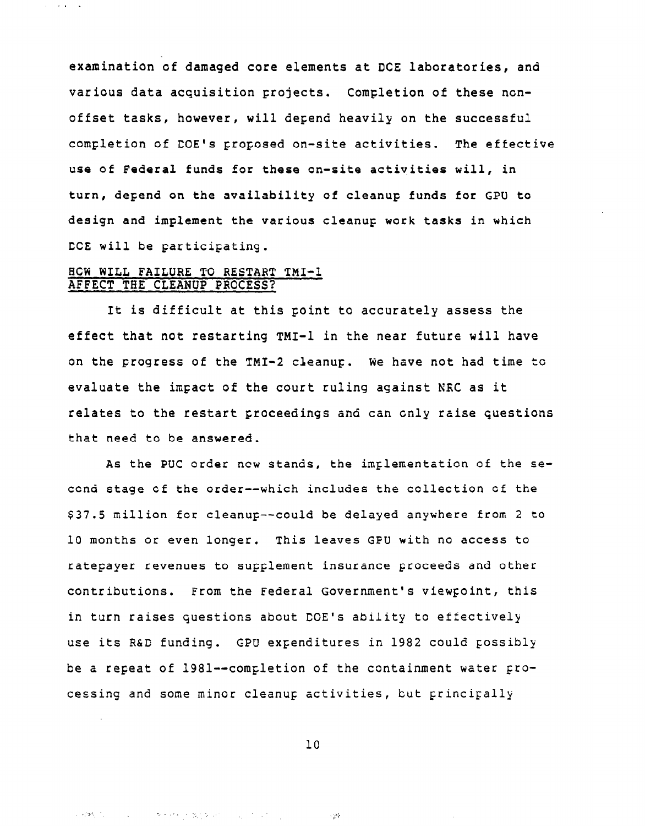examination of damaged core elements at DCE laboratories, and various data acquisition projects. Completion of these nonoffset tasks, however, will depend heavily on the successful completion of DOE's proposed on-site activities. The effective use of Federal funds for these on-site activities will, in turn, depend on the availability of cleanup funds for CPU to design and implement the various cleanup work tasks in which DCE will be participating.

# BCK WILL FAILURE TO RESTART TMI-1 AFFECT THE CLEANUP PROCESS?

→ 488, 1200 → 12000 → 83, 4000 → 2000 → 2000 → 2000

 $\alpha$  ,  $\beta$  ,  $\alpha$  ,  $\beta$  ,  $\alpha$ 

It is difficult at this point to accurately assess the effect that not restarting TMI-1 in the near future will have on the progress of the TMI-2 cleanup. We have not had time to evaluate the impact of the court ruling against NRC as it relates to the restart proceedings and can only raise questions that need to be answered.

As the PUC order new stands, the implementation of the second stage of the order--which includes the collection of the \$37.5 million for cleanup--could be delayed anywhere from 2 to 10 months or even longer. This leaves GFU with no access to ratepayer revenues to supplement insurance proceeds and other contributions. From the Federal Government's viewpoint, this in turn raises questions about DOE's ability to effectively use its R&D funding. CPU expenditures in 1982 could possibly be a repeat of 1981--completion of the containment water processing and some minor cleanup activities, but principally

10

 $\sim 25$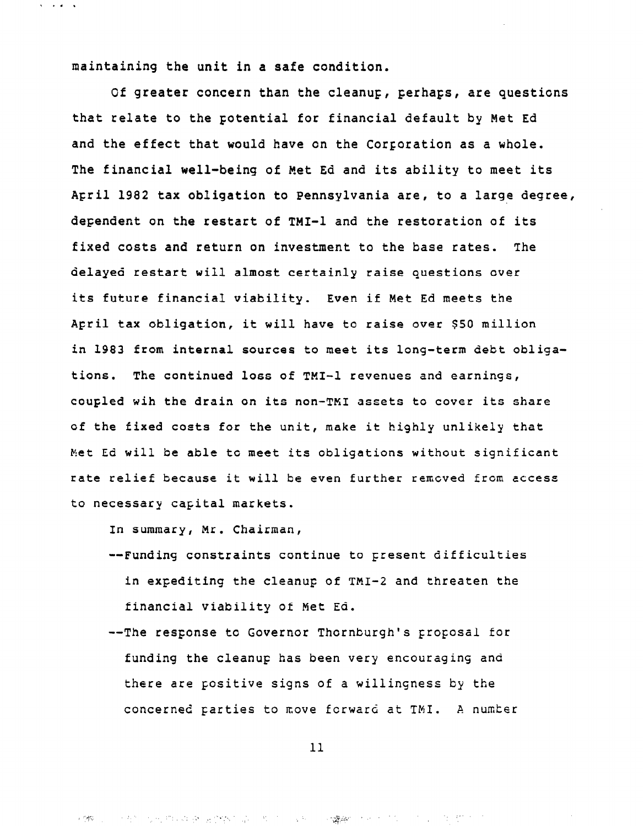maintaining the unit in a safe condition.

 $\mathbf{v} = \mathbf{v} \cdot \mathbf{z} = \mathbf{v}$ 

Of greater concern than the cleanup, perhaps, are questions that relate to the potential for financial default by Met Ed and the effect that would have on the Corporation as a whole. The financial well-being of Met Ed and its ability to meet its April 1982 tax obligation to Pennsylvania are, to a large degree, dependent on the restart of TMI-1 and the restoration of its fixed costs and return on investment to the base rates. The delayed restart will almost certainly raise questions over its future financial viability. Even if Met Ed meets the April tax obligation, it will have to raise over \$50 million in 1983 from internal sources to meet its long-term debt obligations. The continued loss of TMI-1 revenues and earnings, coupled wih the drain on its non-TM1 assets to cover its share of the fixed costs for the unit, make it highly unlikely that Met Ed will be able tc meet its obligations without significant rate relief because it will be even further rcmcved from access to necessary capital markets.

In summary, Mr. Chairman,

- --Funding constraints continue to present difficulties in expaditing the cleanup of TMI-2 and threaten the financial viability of Met Ed.
- --The response to Governor Thornburgh's proposal for funding the cleanup has been very encouraging and there are positive signs of a willingness by the concerned Farties to move forward at TMI. A numter